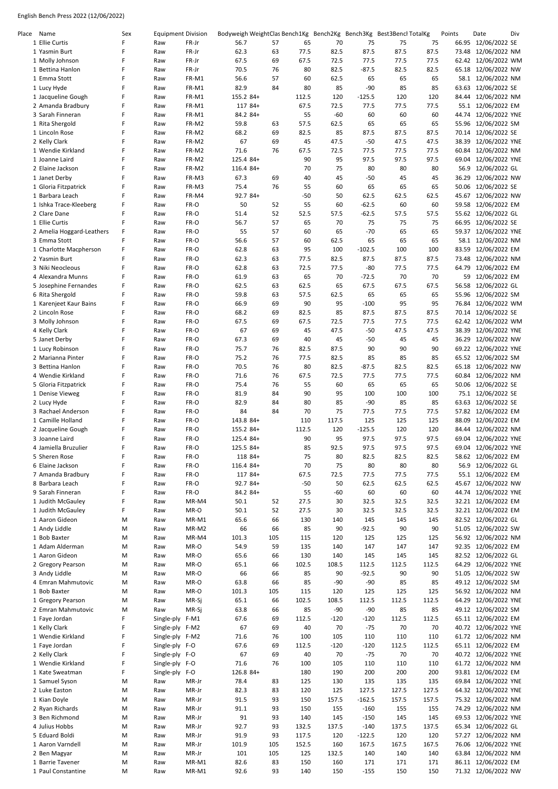| Place Name                              | Sex    | <b>Equipment Division</b> |                | Bodyweigh WeightClas Bench1Kg Bench2Kg Bench3Kg Best3Bencl TotalKg |          |               |              |                  |             |             | Points | Date                                       | Div |
|-----------------------------------------|--------|---------------------------|----------------|--------------------------------------------------------------------|----------|---------------|--------------|------------------|-------------|-------------|--------|--------------------------------------------|-----|
| 1 Ellie Curtis                          | F      | Raw                       | FR-Jr          | 56.7                                                               | 57       | 65            | 70           | 75               | 75          | 75          |        | 66.95 12/06/2022 SE                        |     |
| 1 Yasmin Burt                           | F      | Raw                       | FR-Jr          | 62.3                                                               | 63       | 77.5          | 82.5         | 87.5             | 87.5        | 87.5        | 73.48  | 12/06/2022 NM                              |     |
| 1 Molly Johnson                         | F      | Raw                       | FR-Jr          | 67.5                                                               | 69       | 67.5          | 72.5         | 77.5             | 77.5        | 77.5        | 62.42  | 12/06/2022 WM                              |     |
| 1 Bettina Hanlon                        | F      | Raw                       | FR-Jr          | 70.5                                                               | 76       | 80            | 82.5         | $-87.5$          | 82.5        | 82.5        | 65.18  | 12/06/2022 NW                              |     |
| 1 Emma Stott                            | F      | Raw                       | FR-M1          | 56.6                                                               | 57       | 60            | 62.5         | 65               | 65          | 65          |        | 58.1 12/06/2022 NM                         |     |
| 1 Lucy Hyde                             | F<br>F | Raw                       | FR-M1          | 82.9                                                               | 84       | 80            | 85           | $-90$            | 85          | 85          |        | 63.63 12/06/2022 SE                        |     |
| 1 Jacqueline Gough<br>2 Amanda Bradbury | F      | Raw<br>Raw                | FR-M1<br>FR-M1 | 155.2 84+<br>117 84+                                               |          | 112.5<br>67.5 | 120<br>72.5  | $-125.5$<br>77.5 | 120<br>77.5 | 120<br>77.5 |        | 84.44 12/06/2022 NM<br>55.1 12/06/2022 EM  |     |
| 3 Sarah Finneran                        | F      | Raw                       | FR-M1          | 84.2 84+                                                           |          | 55            | $-60$        | 60               | 60          | 60          |        | 44.74 12/06/2022 YNE                       |     |
| 1 Rita Shergold                         | F      | Raw                       | FR-M2          | 59.8                                                               | 63       | 57.5          | 62.5         | 65               | 65          | 65          | 55.96  | 12/06/2022 SM                              |     |
| 1 Lincoln Rose                          | F      | Raw                       | FR-M2          | 68.2                                                               | 69       | 82.5          | 85           | 87.5             | 87.5        | 87.5        |        | 70.14 12/06/2022 SE                        |     |
| 2 Kelly Clark                           | F      | Raw                       | FR-M2          | 67                                                                 | 69       | 45            | 47.5         | $-50$            | 47.5        | 47.5        | 38.39  | 12/06/2022 YNE                             |     |
| 1 Wendie Kirkland                       | F      | Raw                       | FR-M2          | 71.6                                                               | 76       | 67.5          | 72.5         | 77.5             | 77.5        | 77.5        |        | 60.84 12/06/2022 NM                        |     |
| 1 Joanne Laird                          | F      | Raw                       | FR-M2          | 125.4 84+                                                          |          | 90            | 95           | 97.5             | 97.5        | 97.5        | 69.04  | 12/06/2022 YNE                             |     |
| 2 Elaine Jackson                        | F      | Raw                       | FR-M2          | 116.4 84+                                                          |          | 70            | 75           | 80               | 80          | 80          | 56.9   | 12/06/2022 GL                              |     |
| 1 Janet Derby                           | F      | Raw                       | FR-M3          | 67.3                                                               | 69       | 40            | 45           | $-50$            | 45          | 45          |        | 36.29 12/06/2022 NW                        |     |
| 1 Gloria Fitzpatrick                    | F      | Raw                       | FR-M3          | 75.4                                                               | 76       | 55            | 60           | 65               | 65          | 65          | 50.06  | 12/06/2022 SE                              |     |
| 1 Barbara Leach                         | F      | Raw                       | FR-M4          | 92.7 84+                                                           |          | $-50$         | 50           | 62.5             | 62.5        | 62.5        |        | 45.67 12/06/2022 NW                        |     |
| 1 Ishka Trace-Kleeberg                  | F      | Raw                       | FR-O           | 50                                                                 | 52       | 55            | 60           | $-62.5$          | 60          | 60          | 59.58  | 12/06/2022 EM                              |     |
| 2 Clare Dane                            | F      | Raw                       | FR-O           | 51.4                                                               | 52       | 52.5          | 57.5         | $-62.5$          | 57.5        | 57.5        |        | 55.62 12/06/2022 GL                        |     |
| 1 Ellie Curtis                          | F      | Raw                       | FR-O           | 56.7                                                               | 57       | 65            | 70           | 75               | 75          | 75          |        | 66.95 12/06/2022 SE                        |     |
| 2 Amelia Hoggard-Leathers               | F      | Raw                       | FR-O           | 55                                                                 | 57       | 60            | 65           | $-70$            | 65          | 65          |        | 59.37 12/06/2022 YNE                       |     |
| 3 Emma Stott                            | F      | Raw                       | FR-O           | 56.6                                                               | 57       | 60            | 62.5         | 65               | 65          | 65          |        | 58.1 12/06/2022 NM                         |     |
| 1 Charlotte Macpherson                  | F      | Raw                       | FR-O           | 62.8                                                               | 63       | 95            | 100          | $-102.5$         | 100         | 100         | 83.59  | 12/06/2022 EM                              |     |
| 2 Yasmin Burt                           | F      | Raw                       | FR-O           | 62.3                                                               | 63       | 77.5          | 82.5         | 87.5             | 87.5        | 87.5        | 73.48  | 12/06/2022 NM                              |     |
| 3 Niki Neocleous                        | F      | Raw                       | FR-O           | 62.8                                                               | 63       | 72.5          | 77.5         | $-80$            | 77.5        | 77.5        |        | 64.79 12/06/2022 EM                        |     |
| 4 Alexandra Munns                       | F      | Raw                       | FR-O           | 61.9                                                               | 63       | 65            | 70           | -72.5            | 70          | 70          |        | 59 12/06/2022 EM                           |     |
| 5 Josephine Fernandes                   | F      | Raw                       | FR-O           | 62.5                                                               | 63       | 62.5          | 65           | 67.5             | 67.5        | 67.5        | 56.58  | 12/06/2022 GL                              |     |
| 6 Rita Shergold                         | F      | Raw                       | FR-O           | 59.8                                                               | 63       | 57.5          | 62.5         | 65               | 65          | 65          | 55.96  | 12/06/2022 SM                              |     |
| 1 Karenjeet Kaur Bains                  | F      | Raw                       | FR-O           | 66.9                                                               | 69       | 90            | 95           | $-100$           | 95          | 95          | 76.84  | 12/06/2022 WM                              |     |
| 2 Lincoln Rose                          | F      | Raw                       | FR-O           | 68.2                                                               | 69       | 82.5          | 85           | 87.5             | 87.5        | 87.5        |        | 70.14 12/06/2022 SE                        |     |
| 3 Molly Johnson                         | F      | Raw                       | FR-O           | 67.5                                                               | 69       | 67.5          | 72.5         | 77.5             | 77.5        | 77.5        | 62.42  | 12/06/2022 WM                              |     |
| 4 Kelly Clark                           | F<br>F | Raw                       | FR-O           | 67                                                                 | 69       | 45            | 47.5         | $-50$            | 47.5        | 47.5        | 38.39  | 12/06/2022 YNE                             |     |
| 5 Janet Derby                           | F      | Raw                       | FR-O           | 67.3                                                               | 69       | 40            | 45           | -50              | 45          | 45          | 36.29  | 12/06/2022 NW                              |     |
| 1 Lucy Robinson<br>2 Marianna Pinter    | F      | Raw<br>Raw                | FR-O<br>FR-O   | 75.7<br>75.2                                                       | 76<br>76 | 82.5<br>77.5  | 87.5<br>82.5 | 90<br>85         | 90<br>85    | 90<br>85    | 69.22  | 12/06/2022 YNE<br>65.52 12/06/2022 SM      |     |
| 3 Bettina Hanlon                        | F      | Raw                       | FR-O           | 70.5                                                               | 76       | 80            | 82.5         | $-87.5$          | 82.5        | 82.5        | 65.18  | 12/06/2022 NW                              |     |
| 4 Wendie Kirkland                       | F      | Raw                       | FR-O           | 71.6                                                               | 76       | 67.5          | 72.5         | 77.5             | 77.5        | 77.5        | 60.84  | 12/06/2022 NM                              |     |
| 5 Gloria Fitzpatrick                    | F      | Raw                       | FR-O           | 75.4                                                               | 76       | 55            | 60           | 65               | 65          | 65          | 50.06  | 12/06/2022 SE                              |     |
| 1 Denise Vieweg                         | F      | Raw                       | FR-O           | 81.9                                                               | 84       | 90            | 95           | 100              | 100         | 100         |        | 75.1 12/06/2022 SE                         |     |
| 2 Lucy Hyde                             | F      | Raw                       | FR-O           | 82.9                                                               | 84       | 80            | 85           | $-90$            | 85          | 85          |        | 63.63 12/06/2022 SE                        |     |
| 3 Rachael Anderson                      | F      | Raw                       | FR-O           | 84                                                                 | 84       | 70            | 75           | 77.5             | 77.5        | 77.5        |        | 57.82 12/06/2022 EM                        |     |
| 1 Camille Holland                       | F      | Raw                       | FR-O           | 143.8 84+                                                          |          | 110           | 117.5        | 125              | 125         | 125         | 88.09  | 12/06/2022 EM                              |     |
| 2 Jacqueline Gough                      | F      | Raw                       | FR-O           | 155.2 84+                                                          |          | 112.5         | 120          | $-125.5$         | 120         | 120         | 84.44  | 12/06/2022 NM                              |     |
| 3 Joanne Laird                          | F      | Raw                       | FR-O           | 125.4 84+                                                          |          | 90            | 95           | 97.5             | 97.5        | 97.5        |        | 69.04 12/06/2022 YNE                       |     |
| 4 Jamiella Bruzulier                    | F      | Raw                       | FR-O           | 125.5 84+                                                          |          | 85            | 92.5         | 97.5             | 97.5        | 97.5        |        | 69.04 12/06/2022 YNE                       |     |
| 5 Sheren Rose                           | F      | Raw                       | FR-O           | 118 84+                                                            |          | 75            | 80           | 82.5             | 82.5        | 82.5        |        | 58.62 12/06/2022 EM                        |     |
| 6 Elaine Jackson                        | F      | Raw                       | FR-O           | 116.4 84+                                                          |          | 70            | 75           | 80               | 80          | 80          |        | 56.9 12/06/2022 GL                         |     |
| 7 Amanda Bradbury                       | F      | Raw                       | FR-O           | 117 84+                                                            |          | 67.5          | 72.5         | 77.5             | 77.5        | 77.5        |        | 55.1 12/06/2022 EM                         |     |
| 8 Barbara Leach                         | F      | Raw                       | FR-O           | 92.7 84+                                                           |          | $-50$         | 50           | 62.5             | 62.5        | 62.5        |        | 45.67 12/06/2022 NW                        |     |
| 9 Sarah Finneran                        | F      | Raw                       | FR-O           | 84.2 84+                                                           |          | 55            | -60          | 60               | 60          | 60          |        | 44.74 12/06/2022 YNE                       |     |
| 1 Judith McGauley                       | F      | Raw                       | MR-M4          | 50.1                                                               | 52       | 27.5          | 30           | 32.5             | 32.5        | 32.5        |        | 32.21 12/06/2022 EM                        |     |
| 1 Judith McGauley                       | F      | Raw                       | MR-O           | 50.1                                                               | 52       | 27.5          | 30           | 32.5             | 32.5        | 32.5        |        | 32.21 12/06/2022 EM                        |     |
| 1 Aaron Gideon                          | Μ      | Raw                       | MR-M1          | 65.6                                                               | 66       | 130           | 140          | 145              | 145         | 145         |        | 82.52 12/06/2022 GL                        |     |
| 1 Andy Liddle                           | Μ      | Raw                       | MR-M2          | 66                                                                 | 66       | 85            | 90           | $-92.5$          | 90          | 90          |        | 51.05 12/06/2022 SW                        |     |
| 1 Bob Baxter                            | M      | Raw                       | MR-M4          | 101.3                                                              | 105      | 115           | 120          | 125              | 125         | 125         |        | 56.92 12/06/2022 NM                        |     |
| 1 Adam Alderman                         | M      | Raw                       | MR-O           | 54.9                                                               | 59       | 135           | 140          | 147              | 147         | 147         |        | 92.35 12/06/2022 EM                        |     |
| 1 Aaron Gideon                          | М      | Raw                       | MR-O           | 65.6                                                               | 66       | 130           | 140          | 145              | 145         | 145         |        | 82.52 12/06/2022 GL                        |     |
| 2 Gregory Pearson                       | M      | Raw                       | MR-O           | 65.1                                                               | 66       | 102.5         | 108.5        | 112.5            | 112.5       | 112.5       |        | 64.29 12/06/2022 YNE                       |     |
| 3 Andy Liddle<br>4 Emran Mahmutovic     | Μ      | Raw                       | MR-O           | 66<br>63.8                                                         | 66<br>66 | 85<br>85      | 90           | $-92.5$          | 90<br>85    | 90<br>85    |        | 51.05 12/06/2022 SW<br>49.12 12/06/2022 SM |     |
| 1 Bob Baxter                            | Μ<br>M | Raw<br>Raw                | MR-O<br>MR-O   | 101.3                                                              | 105      | 115           | $-90$<br>120 | $-90$<br>125     | 125         | 125         |        | 56.92 12/06/2022 NM                        |     |
| 1 Gregory Pearson                       | M      | Raw                       | MR-Sj          | 65.1                                                               | 66       | 102.5         | 108.5        | 112.5            | 112.5       | 112.5       |        | 64.29 12/06/2022 YNE                       |     |
| 2 Emran Mahmutovic                      | Μ      | Raw                       | MR-Sj          | 63.8                                                               | 66       | 85            | $-90$        | $-90$            | 85          | 85          |        | 49.12 12/06/2022 SM                        |     |
| 1 Faye Jordan                           | F      | Single-ply F-M1           |                | 67.6                                                               | 69       | 112.5         | $-120$       | $-120$           | 112.5       | 112.5       |        | 65.11 12/06/2022 EM                        |     |
| 1 Kelly Clark                           | F      | Single-ply F-M2           |                | 67                                                                 | 69       | 40            | 70           | -75              | 70          | 70          |        | 40.72 12/06/2022 YNE                       |     |
| 1 Wendie Kirkland                       | F      | Single-ply                | F-M2           | 71.6                                                               | 76       | 100           | 105          | 110              | 110         | 110         |        | 61.72 12/06/2022 NM                        |     |
| 1 Faye Jordan                           | F      | Single-ply F-O            |                | 67.6                                                               | 69       | 112.5         | $-120$       | $-120$           | 112.5       | 112.5       |        | 65.11 12/06/2022 EM                        |     |
| 2 Kelly Clark                           | F      | Single-ply F-O            |                | 67                                                                 | 69       | 40            | 70           | $-75$            | 70          | 70          |        | 40.72 12/06/2022 YNE                       |     |
| 1 Wendie Kirkland                       | F      | Single-ply F-O            |                | 71.6                                                               | 76       | 100           | 105          | 110              | 110         | 110         |        | 61.72 12/06/2022 NM                        |     |
| 1 Kate Sweatman                         | F      | Single-ply F-O            |                | 126.8 84+                                                          |          | 180           | 190          | 200              | 200         | 200         |        | 93.81 12/06/2022 EM                        |     |
| 1 Samuel Syson                          | М      | Raw                       | MR-Jr          | 78.4                                                               | 83       | 125           | 130          | 135              | 135         | 135         |        | 69.84 12/06/2022 YNE                       |     |
| 2 Luke Easton                           | M      | Raw                       | MR-Jr          | 82.3                                                               | 83       | 120           | 125          | 127.5            | 127.5       | 127.5       |        | 64.32 12/06/2022 YNE                       |     |
| 1 Kian Doyle                            | Μ      | Raw                       | MR-Jr          | 91.5                                                               | 93       | 150           | 157.5        | $-162.5$         | 157.5       | 157.5       |        | 75.32 12/06/2022 NM                        |     |
| 2 Ryan Richards                         | Μ      | Raw                       | MR-Jr          | 91.1                                                               | 93       | 150           | 155          | $-160$           | 155         | 155         |        | 74.29 12/06/2022 NM                        |     |
| 3 Ben Richmond                          | M      | Raw                       | MR-Jr          | 91                                                                 | 93       | 140           | 145          | $-150$           | 145         | 145         |        | 69.53 12/06/2022 YNE                       |     |
| 4 Julius Hobbs                          | Μ      | Raw                       | MR-Jr          | 92.7                                                               | 93       | 132.5         | 137.5        | $-140$           | 137.5       | 137.5       |        | 65.34 12/06/2022 GL                        |     |
| 5 Eduard Boldi                          | Μ      | Raw                       | MR-Jr          | 91.9                                                               | 93       | 117.5         | 120          | $-122.5$         | 120         | 120         |        | 57.27 12/06/2022 NM                        |     |
| 1 Aaron Varndell                        | M      | Raw                       | MR-Jr          | 101.9                                                              | 105      | 152.5         | 160          | 167.5            | 167.5       | 167.5       |        | 76.06 12/06/2022 YNE                       |     |
| 2 Ben Magyar                            | М      | Raw                       | MR-Jr          | 101                                                                | 105      | 125           | 132.5        | 140              | 140         | 140         |        | 63.84 12/06/2022 NM                        |     |
| 1 Barrie Tavener                        | М      | Raw                       | MR-M1          | 82.6                                                               | 83       | 150           | 160          | 171              | 171         | 171         |        | 86.11 12/06/2022 EM                        |     |
| 1 Paul Constantine                      | Μ      | Raw                       | MR-M1          | 92.6                                                               | 93       | 140           | 150          | $-155$           | 150         | 150         |        | 71.32 12/06/2022 NW                        |     |